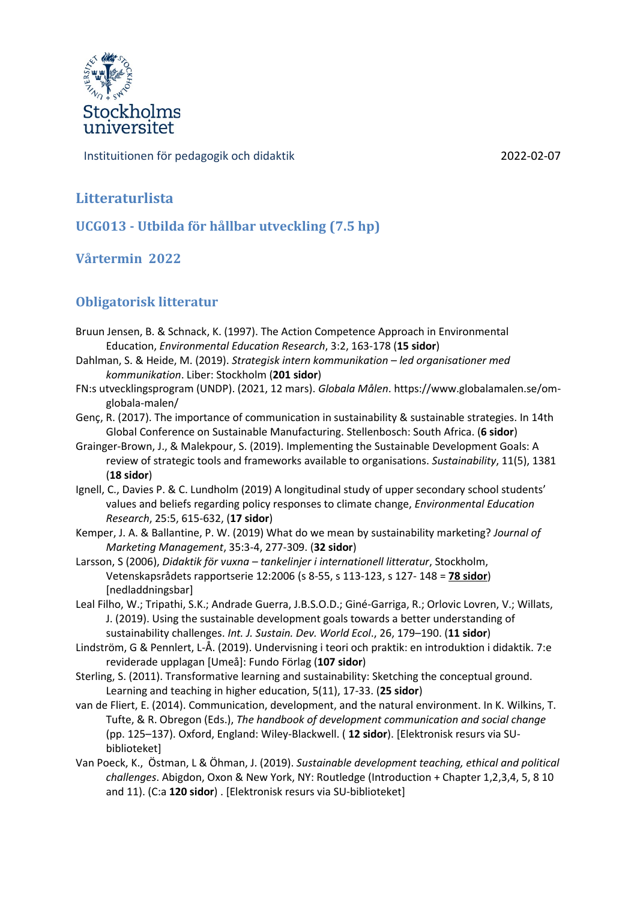

Instituitionen för pedagogik och didaktik 2022-02-07

# **Litteraturlista**

**UCG013 - Utbilda för hållbar utveckling (7.5 hp)**

### **Vårtermin 2022**

# **Obligatorisk litteratur**

- Bruun Jensen, B. & Schnack, K. (1997). The Action Competence Approach in Environmental Education, *Environmental Education Research*, 3:2, 163-178 (**15 sidor**)
- Dahlman, S. & Heide, M. (2019). *Strategisk intern kommunikation – led organisationer med kommunikation*. Liber: Stockholm (**201 sidor**)
- FN:s utvecklingsprogram (UNDP). (2021, 12 mars). *Globala Målen*. https://www.globalamalen.se/omglobala-malen/
- Genç, R. (2017). The importance of communication in sustainability & sustainable strategies. In 14th Global Conference on Sustainable Manufacturing. Stellenbosch: South Africa. (**6 sidor**)
- Grainger-Brown, J., & Malekpour, S. (2019). Implementing the Sustainable Development Goals: A review of strategic tools and frameworks available to organisations. *Sustainability*, 11(5), 1381 (**18 sidor**)
- Ignell, C., Davies P. & C. Lundholm (2019) A longitudinal study of upper secondary school students' values and beliefs regarding policy responses to climate change, *Environmental Education Research*, 25:5, 615-632, (**17 sidor**)
- Kemper, J. A. & Ballantine, P. W. (2019) What do we mean by sustainability marketing? *Journal of Marketing Management*, 35:3-4, 277-309. (**32 sidor**)
- Larsson, S (2006), *Didaktik för vuxna – tankelinjer i internationell litteratur*, Stockholm, Vetenskapsrådets rapportserie 12:2006 (s 8-55, s 113-123, s 127- 148 = **78 sidor**) [nedladdningsbar]
- Leal Filho, W.; Tripathi, S.K.; Andrade Guerra, J.B.S.O.D.; Giné-Garriga, R.; Orlovic Lovren, V.; Willats, J. (2019). Using the sustainable development goals towards a better understanding of sustainability challenges. *Int. J. Sustain. Dev. World Ecol*., 26, 179–190. (**11 sidor**)
- Lindström, G & Pennlert, L-Å. (2019). Undervisning i teori och praktik: en introduktion i didaktik. 7:e reviderade upplagan [Umeå]: Fundo Förlag (**107 sidor**)
- Sterling, S. (2011). Transformative learning and sustainability: Sketching the conceptual ground. Learning and teaching in higher education, 5(11), 17-33. (**25 sidor**)
- van de Fliert, E. (2014). Communication, development, and the natural environment. In K. Wilkins, T. Tufte, & R. Obregon (Eds.), *The handbook of development communication and social change* (pp. 125–137). Oxford, England: Wiley-Blackwell. ( **12 sidor**). [Elektronisk resurs via SUbiblioteket]
- Van Poeck, K., Östman, L & Öhman, J. (2019). *Sustainable development teaching, ethical and political challenges*. Abigdon, Oxon & New York, NY: Routledge (Introduction + Chapter 1,2,3,4, 5, 8 10 and 11). (C:a **120 sidor**) . [Elektronisk resurs via SU-biblioteket]